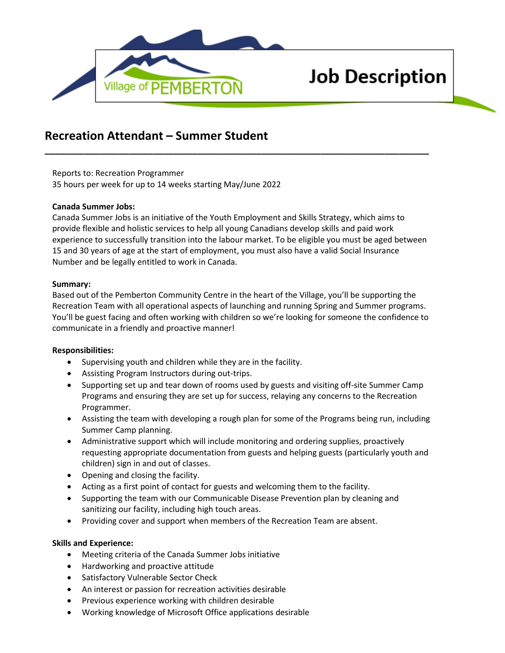

# **Job Description**

# **Recreation Attendant – Summer Student**

Reports to: Recreation Programmer 35 hours per week for up to 14 weeks starting May/June 2022

## **Canada Summer Jobs:**

Canada Summer Jobs is an initiative of the Youth Employment and Skills Strategy, which aims to provide flexible and holistic services to help all young Canadians develop skills and paid work experience to successfully transition into the labour market. To be eligible you must be aged between 15 and 30 years of age at the start of employment, you must also have a valid Social Insurance Number and be legally entitled to work in Canada.

**\_\_\_\_\_\_\_\_\_\_\_\_\_\_\_\_\_\_\_\_\_\_\_\_\_\_\_\_\_\_\_\_\_\_\_\_\_\_\_\_\_\_\_\_\_\_\_\_\_\_\_\_\_\_\_\_\_\_\_\_\_\_\_\_\_\_\_\_\_\_\_\_\_\_\_\_\_\_**

## **Summary:**

Based out of the Pemberton Community Centre in the heart of the Village, you'll be supporting the Recreation Team with all operational aspects of launching and running Spring and Summer programs. You'll be guest facing and often working with children so we're looking for someone the confidence to communicate in a friendly and proactive manner!

#### **Responsibilities:**

- Supervising youth and children while they are in the facility.
- Assisting Program Instructors during out-trips.
- Supporting set up and tear down of rooms used by guests and visiting off-site Summer Camp Programs and ensuring they are set up for success, relaying any concerns to the Recreation Programmer.
- Assisting the team with developing a rough plan for some of the Programs being run, including Summer Camp planning.
- Administrative support which will include monitoring and ordering supplies, proactively requesting appropriate documentation from guests and helping guests (particularly youth and children) sign in and out of classes.
- Opening and closing the facility.
- Acting as a first point of contact for guests and welcoming them to the facility.
- Supporting the team with our Communicable Disease Prevention plan by cleaning and sanitizing our facility, including high touch areas.
- Providing cover and support when members of the Recreation Team are absent.

#### **Skills and Experience:**

- Meeting criteria of the Canada Summer Jobs initiative
- Hardworking and proactive attitude
- Satisfactory Vulnerable Sector Check
- An interest or passion for recreation activities desirable
- Previous experience working with children desirable
- Working knowledge of Microsoft Office applications desirable